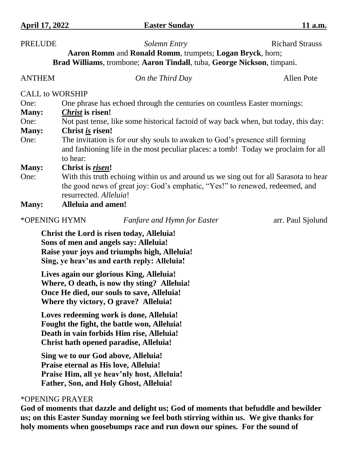**PRELUDE** *Solemn Entry* Richard Strauss

| Aaron Romm and Ronald Romm, trumpets; Logan Bryck, horn;<br>Brad Williams, trombone; Aaron Tindall, tuba, George Nickson, timpani. |                                                                                                                                                                                                |                                    |                   |  |  |
|------------------------------------------------------------------------------------------------------------------------------------|------------------------------------------------------------------------------------------------------------------------------------------------------------------------------------------------|------------------------------------|-------------------|--|--|
| <b>ANTHEM</b>                                                                                                                      |                                                                                                                                                                                                | On the Third Day                   | <b>Allen Pote</b> |  |  |
| <b>CALL to WORSHIP</b>                                                                                                             |                                                                                                                                                                                                |                                    |                   |  |  |
| One:                                                                                                                               | One phrase has echoed through the centuries on countless Easter mornings:                                                                                                                      |                                    |                   |  |  |
| <b>Many:</b>                                                                                                                       | <i>Christ</i> is risen!                                                                                                                                                                        |                                    |                   |  |  |
| One:                                                                                                                               | Not past tense, like some historical factoid of way back when, but today, this day:                                                                                                            |                                    |                   |  |  |
| <b>Many:</b>                                                                                                                       | Christ is risen!                                                                                                                                                                               |                                    |                   |  |  |
| One:                                                                                                                               | The invitation is for our shy souls to awaken to God's presence still forming<br>and fashioning life in the most peculiar places: a tomb! Today we proclaim for all<br>to hear:                |                                    |                   |  |  |
| <b>Many:</b>                                                                                                                       | Christ is <i>risen!</i>                                                                                                                                                                        |                                    |                   |  |  |
| One:                                                                                                                               | With this truth echoing within us and around us we sing out for all Sarasota to hear<br>the good news of great joy: God's emphatic, "Yes!" to renewed, redeemed, and<br>resurrected. Alleluia! |                                    |                   |  |  |
| <b>Many:</b>                                                                                                                       | <b>Alleluia and amen!</b>                                                                                                                                                                      |                                    |                   |  |  |
| *OPENING HYMN                                                                                                                      |                                                                                                                                                                                                | <b>Fanfare and Hymn for Easter</b> | arr. Paul Sjolund |  |  |

**Christ the Lord is risen today, Alleluia! Sons of men and angels say: Alleluia! Raise your joys and triumphs high, Alleluia! Sing, ye heav'ns and earth reply: Alleluia!**

**Lives again our glorious King, Alleluia! Where, O death, is now thy sting? Alleluia! Once He died, our souls to save, Alleluia! Where thy victory, O grave? Alleluia!**

**Loves redeeming work is done, Alleluia! Fought the fight, the battle won, Alleluia! Death in vain forbids Him rise, Alleluia! Christ hath opened paradise, Alleluia!**

**Sing we to our God above, Alleluia! Praise eternal as His love, Alleluia! Praise Him, all ye heav'nly host, Alleluia! Father, Son, and Holy Ghost, Alleluia!** 

## \*OPENING PRAYER

**God of moments that dazzle and delight us; God of moments that befuddle and bewilder us; on this Easter Sunday morning we feel both stirring within us. We give thanks for holy moments when goosebumps race and run down our spines. For the sound of**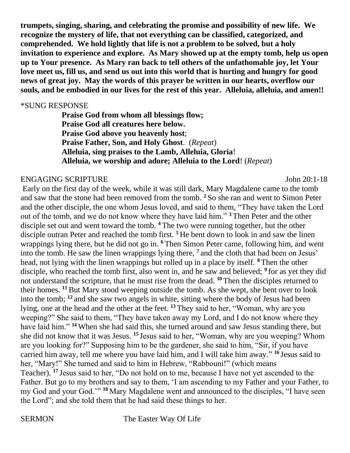**trumpets, singing, sharing, and celebrating the promise and possibility of new life. We recognize the mystery of life, that not everything can be classified, categorized, and comprehended. We hold lightly that life is not a problem to be solved, but a holy invitation to experience and explore. As Mary showed up at the empty tomb, help us open up to Your presence. As Mary ran back to tell others of the unfathomable joy, let Your love meet us, fill us, and send us out into this world that is hurting and hungry for good news of great joy. May the words of this prayer be written in our hearts, overflow our souls, and be embodied in our lives for the rest of this year. Alleluia, alleluia, and amen!!**

### \*SUNG RESPONSE

**Praise God from whom all blessings flow; Praise God all creatures here below. Praise God above you heavenly host**; **Praise Father, Son, and Holy Ghost**. (*Repeat*) **Alleluia, sing praises to the Lamb, Alleluia, Gloria**! **Alleluia, we worship and adore; Alleluia to the Lord**! (*Repeat*)

## ENGAGING SCRIPTURE John 20:1-18

Early on the first day of the week, while it was still dark, Mary Magdalene came to the tomb and saw that the stone had been removed from the tomb. **<sup>2</sup>** So she ran and went to Simon Peter and the other disciple, the one whom Jesus loved, and said to them, "They have taken the Lord out of the tomb, and we do not know where they have laid him." **<sup>3</sup>** Then Peter and the other disciple set out and went toward the tomb. **<sup>4</sup>** The two were running together, but the other disciple outran Peter and reached the tomb first. **<sup>5</sup>** He bent down to look in and saw the linen wrappings lying there, but he did not go in. **<sup>6</sup>** Then Simon Peter came, following him, and went into the tomb. He saw the linen wrappings lying there, **<sup>7</sup>** and the cloth that had been on Jesus' head, not lying with the linen wrappings but rolled up in a place by itself. **<sup>8</sup>** Then the other disciple, who reached the tomb first, also went in, and he saw and believed; **<sup>9</sup>** for as yet they did not understand the scripture, that he must rise from the dead. **<sup>10</sup>** Then the disciples returned to their homes. **<sup>11</sup>**But Mary stood weeping outside the tomb. As she wept, she bent over to look into the tomb; **<sup>12</sup>** and she saw two angels in white, sitting where the body of Jesus had been lying, one at the head and the other at the feet. **<sup>13</sup>** They said to her, "Woman, why are you weeping?" She said to them, "They have taken away my Lord, and I do not know where they have laid him." **<sup>14</sup>** When she had said this, she turned around and saw Jesus standing there, but she did not know that it was Jesus. **<sup>15</sup>** Jesus said to her, "Woman, why are you weeping? Whom are you looking for?" Supposing him to be the gardener, she said to him, "Sir, if you have carried him away, tell me where you have laid him, and I will take him away." **<sup>16</sup>** Jesus said to her, "Mary!" She turned and said to him in Hebrew, "Rabbouni!" (which means Teacher). **<sup>17</sup>** Jesus said to her, "Do not hold on to me, because I have not yet ascended to the Father. But go to my brothers and say to them, 'I am ascending to my Father and your Father, to my God and your God.'" **<sup>18</sup>** Mary Magdalene went and announced to the disciples, "I have seen the Lord"; and she told them that he had said these things to her.

SERMON The Easter Way Of Life